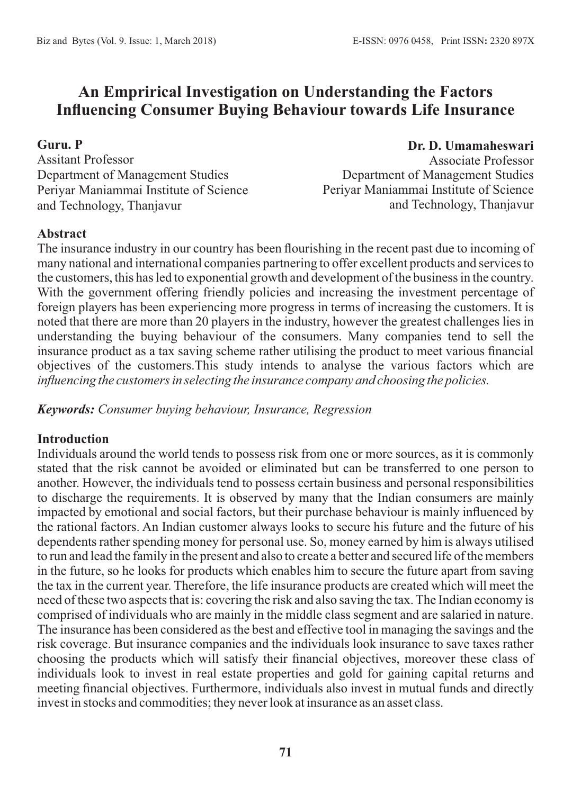# **An Emprirical Investigation on Understanding the Factors Influencing Consumer Buying Behaviour towards Life Insurance**

#### **Guru. P**

Assitant Professor Department of Management Studies Periyar Maniammai Institute of Science and Technology, Thanjavur

#### **Dr. D. Umamaheswari**

Associate Professor Department of Management Studies Periyar Maniammai Institute of Science and Technology, Thanjavur

#### **Abstract**

The insurance industry in our country has been flourishing in the recent past due to incoming of many national and international companies partnering to offer excellent products and services to the customers, this has led to exponential growth and development of the business in the country. With the government offering friendly policies and increasing the investment percentage of foreign players has been experiencing more progress in terms of increasing the customers. It is noted that there are more than 20 players in the industry, however the greatest challenges lies in understanding the buying behaviour of the consumers. Many companies tend to sell the insurance product as a tax saving scheme rather utilising the product to meet various financial objectives of the customers.This study intends to analyse the various factors which are *influencing the customers in selecting the insurance company and choosing the policies.* 

*Keywords: Consumer buying behaviour, Insurance, Regression*

#### **Introduction**

Individuals around the world tends to possess risk from one or more sources, as it is commonly stated that the risk cannot be avoided or eliminated but can be transferred to one person to another. However, the individuals tend to possess certain business and personal responsibilities to discharge the requirements. It is observed by many that the Indian consumers are mainly impacted by emotional and social factors, but their purchase behaviour is mainly influenced by the rational factors. An Indian customer always looks to secure his future and the future of his dependents rather spending money for personal use. So, money earned by him is always utilised to run and lead the family in the present and also to create a better and secured life of the members in the future, so he looks for products which enables him to secure the future apart from saving the tax in the current year. Therefore, the life insurance products are created which will meet the need of these two aspects that is: covering the risk and also saving the tax. The Indian economy is comprised of individuals who are mainly in the middle class segment and are salaried in nature. The insurance has been considered as the best and effective tool in managing the savings and the risk coverage. But insurance companies and the individuals look insurance to save taxes rather choosing the products which will satisfy their financial objectives, moreover these class of individuals look to invest in real estate properties and gold for gaining capital returns and meeting financial objectives. Furthermore, individuals also invest in mutual funds and directly invest in stocks and commodities; they never look at insurance as an asset class.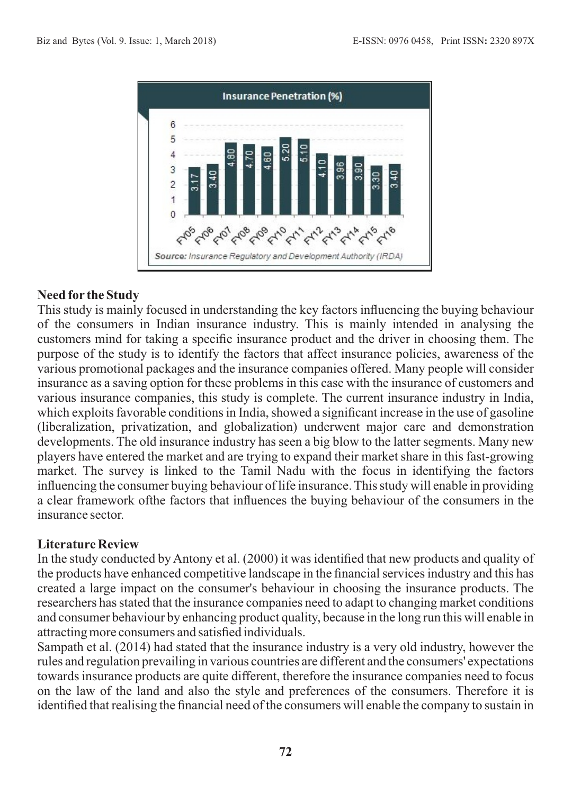

#### **Need for the Study**

This study is mainly focused in understanding the key factors influencing the buying behaviour of the consumers in Indian insurance industry. This is mainly intended in analysing the customers mind for taking a specific insurance product and the driver in choosing them. The purpose of the study is to identify the factors that affect insurance policies, awareness of the various promotional packages and the insurance companies offered. Many people will consider insurance as a saving option for these problems in this case with the insurance of customers and various insurance companies, this study is complete. The current insurance industry in India, which exploits favorable conditions in India, showed a significant increase in the use of gasoline (liberalization, privatization, and globalization) underwent major care and demonstration developments. The old insurance industry has seen a big blow to the latter segments. Many new players have entered the market and are trying to expand their market share in this fast-growing market. The survey is linked to the Tamil Nadu with the focus in identifying the factors influencing the consumer buying behaviour of life insurance. This study will enable in providing a clear framework ofthe factors that influences the buying behaviour of the consumers in the insurance sector.

#### **Literature Review**

In the study conducted by Antony et al. (2000) it was identified that new products and quality of the products have enhanced competitive landscape in the financial services industry and this has created a large impact on the consumer's behaviour in choosing the insurance products. The researchers has stated that the insurance companies need to adapt to changing market conditions and consumer behaviour by enhancing product quality, because in the long run this will enable in attracting more consumers and satisfied individuals.

Sampath et al. (2014) had stated that the insurance industry is a very old industry, however the rules and regulation prevailing in various countries are different and the consumers' expectations towards insurance products are quite different, therefore the insurance companies need to focus on the law of the land and also the style and preferences of the consumers. Therefore it is identified that realising the financial need of the consumers will enable the company to sustain in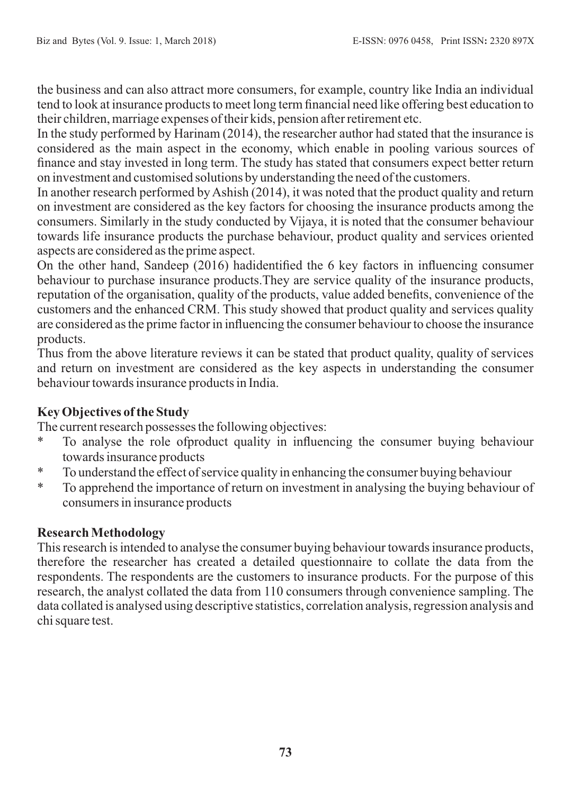the business and can also attract more consumers, for example, country like India an individual tend to look at insurance products to meet long term financial need like offering best education to their children, marriage expenses of their kids, pension after retirement etc.

In the study performed by Harinam (2014), the researcher author had stated that the insurance is considered as the main aspect in the economy, which enable in pooling various sources of finance and stay invested in long term. The study has stated that consumers expect better return on investment and customised solutions by understanding the need of the customers.

In another research performed by Ashish (2014), it was noted that the product quality and return on investment are considered as the key factors for choosing the insurance products among the consumers. Similarly in the study conducted by Vijaya, it is noted that the consumer behaviour towards life insurance products the purchase behaviour, product quality and services oriented aspects are considered as the prime aspect.

On the other hand, Sandeep (2016) hadidentified the 6 key factors in influencing consumer behaviour to purchase insurance products.They are service quality of the insurance products, reputation of the organisation, quality of the products, value added benefits, convenience of the customers and the enhanced CRM. This study showed that product quality and services quality are considered as the prime factor in influencing the consumer behaviour to choose the insurance products.

Thus from the above literature reviews it can be stated that product quality, quality of services and return on investment are considered as the key aspects in understanding the consumer behaviour towards insurance products in India.

## **Key Objectives of the Study**

The current research possesses the following objectives:

- \* To analyse the role ofproduct quality in influencing the consumer buying behaviour towards insurance products
- \* To understand the effect of service quality in enhancing the consumer buying behaviour
- \* To apprehend the importance of return on investment in analysing the buying behaviour of consumers in insurance products

## **Research Methodology**

This research is intended to analyse the consumer buying behaviour towards insurance products, therefore the researcher has created a detailed questionnaire to collate the data from the respondents. The respondents are the customers to insurance products. For the purpose of this research, the analyst collated the data from 110 consumers through convenience sampling. The data collated is analysed using descriptive statistics, correlation analysis, regression analysis and chi square test.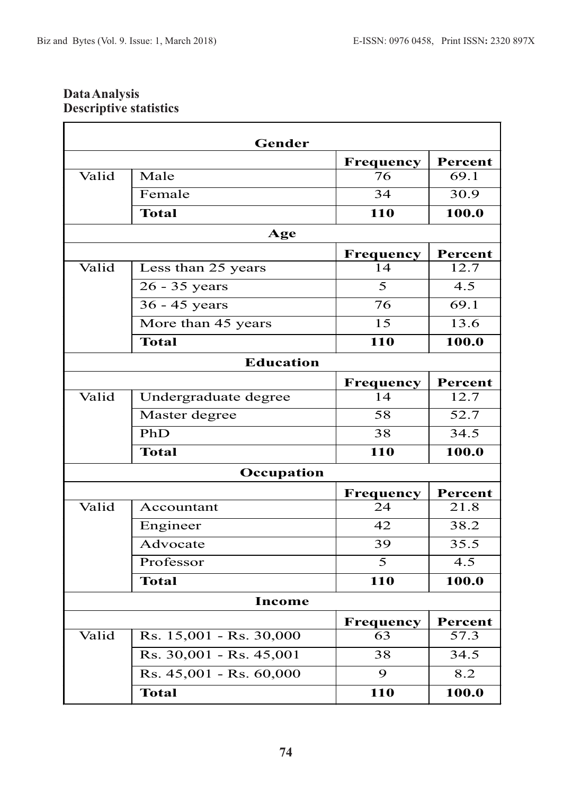### **Data Analysis Descriptive statistics**

|       | Gender                                       |                 |         |
|-------|----------------------------------------------|-----------------|---------|
|       |                                              | Frequency       | Percent |
| Valid | Male                                         | 76              | 69.1    |
|       | Female                                       | 34              | 30.9    |
|       | <b>Total</b>                                 | 110             | 100.0   |
|       | Age                                          |                 |         |
|       |                                              | Frequency       | Percent |
| Valid | Less than 25 years                           | 14              | 12.7    |
|       | 26 - 35 years                                | 5               | 4.5     |
|       | $36 - 45$ years                              | 76              | 69.1    |
|       | More than 45 years                           | $\overline{15}$ | 13.6    |
|       | <b>Total</b>                                 | 110             | 100.0   |
|       | <b>Education</b>                             |                 |         |
|       |                                              | Frequency       | Percent |
| Valid | Undergraduate degree                         | 14              | 12.7    |
|       | Master degree                                | 58              | 52.7    |
|       | PhD                                          | 38              | 34.5    |
|       | <b>Total</b>                                 | 110             | 100.0   |
|       | Occupation                                   |                 |         |
|       |                                              | Frequency       | Percent |
| Valid | Accountant                                   | 24              | 21.8    |
|       | Engineer                                     | 42              | 38.2    |
|       | Advocate                                     | 39              | 35.5    |
|       | Professor                                    | $\overline{5}$  | 4.5     |
|       | <b>Total</b>                                 | 110             | 100.0   |
|       | Income                                       |                 |         |
|       |                                              | Frequency       | Percent |
| Valid | Rs. 15,001 - Rs. 30,000                      | 63              | 57.3    |
|       | Rs. 30,001 - Rs. 45,001                      | 38              | 34.5    |
|       | $\overline{\text{Rs}}$ . 45,001 - Rs. 60,000 | 9               | 8.2     |
|       |                                              |                 |         |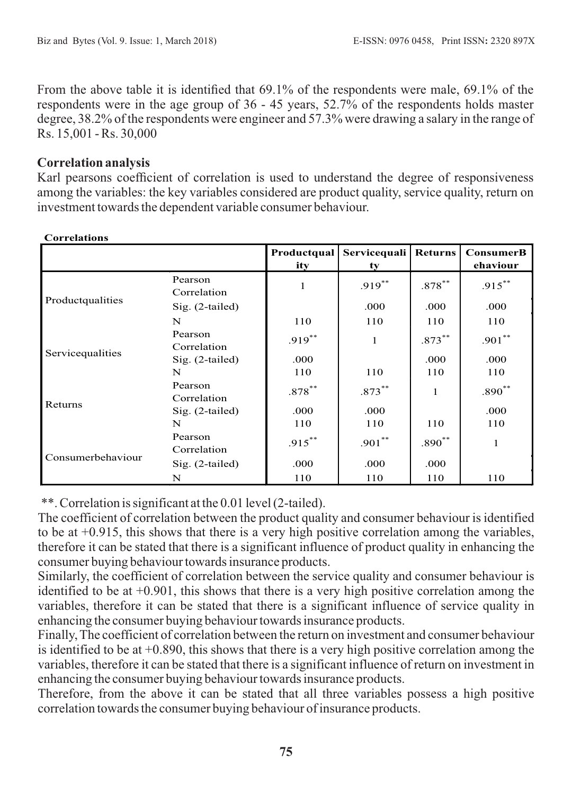From the above table it is identified that 69.1% of the respondents were male, 69.1% of the respondents were in the age group of 36 - 45 years, 52.7% of the respondents holds master degree, 38.2% of the respondents were engineer and 57.3% were drawing a salary in the range of Rs. 15,001 - Rs. 30,000

### **Correlation analysis**

Karl pearsons coefficient of correlation is used to understand the degree of responsiveness among the variables: the key variables considered are product quality, service quality, return on investment towards the dependent variable consumer behaviour.

|                   |                        | Productqual<br>ity | Servicequali<br>ty | <b>Returns</b> | <b>ConsumerB</b><br>ehaviour |
|-------------------|------------------------|--------------------|--------------------|----------------|------------------------------|
|                   | Pearson<br>Correlation | $\mathbf{1}$       | $.919***$          | $.878***$      | $.915***$                    |
| Productqualities  | Sig. (2-tailed)        |                    | .000               | .000           | .000                         |
|                   | N                      | 110                | 110                | 110            | 110                          |
|                   | Pearson<br>Correlation | $.919***$          | $\mathbf{1}$       | $.873***$      | $.901**$                     |
| Servicequalities  | $Sig. (2-tailed)$      | .000               |                    | .000           | .000                         |
|                   | N                      | 110                | 110                | 110            | 110                          |
|                   | Pearson<br>Correlation | $.878***$          | $.873***$          | 1              | $.890^{**}$                  |
| Returns           | Sig. (2-tailed)        | .000               | .000               |                | .000                         |
|                   | N                      | 110                | 110                | 110            | 110                          |
|                   | Pearson<br>Correlation | $.915***$          | $.901***$          | $.890**$       | 1                            |
| Consumerbehaviour | $Sig. (2-tailed)$      | .000               | .000               | .000           |                              |
|                   | N                      | 110                | 110                | 110            | 110                          |

#### **Correlations**

\*\*. Correlation is significant at the 0.01 level (2-tailed).

The coefficient of correlation between the product quality and consumer behaviour is identified to be at +0.915, this shows that there is a very high positive correlation among the variables, therefore it can be stated that there is a significant influence of product quality in enhancing the consumer buying behaviour towards insurance products.

Similarly, the coefficient of correlation between the service quality and consumer behaviour is identified to be at  $+0.901$ , this shows that there is a very high positive correlation among the variables, therefore it can be stated that there is a significant influence of service quality in enhancing the consumer buying behaviour towards insurance products.

Finally, The coefficient of correlation between the return on investment and consumer behaviour is identified to be at  $+0.890$ , this shows that there is a very high positive correlation among the variables, therefore it can be stated that there is a significant influence of return on investment in enhancing the consumer buying behaviour towards insurance products.

Therefore, from the above it can be stated that all three variables possess a high positive correlation towards the consumer buying behaviour of insurance products.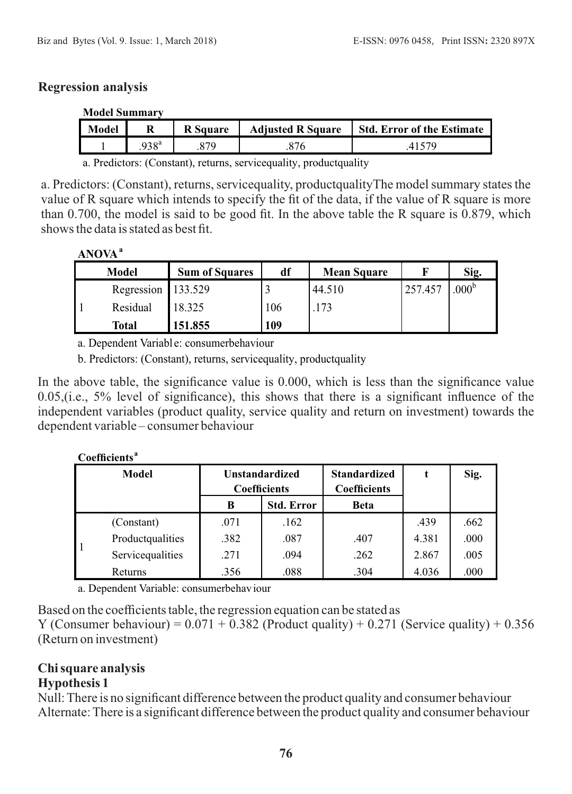#### **Regression analysis**

| Model |                | <b>R</b> Square | <b>Adjusted R Square</b> | <b>Std. Error of the Estimate</b> |
|-------|----------------|-----------------|--------------------------|-----------------------------------|
|       | $.938^{\rm a}$ | 270             |                          |                                   |

a. Predictors: (Constant), returns, servicequality, productquality

a. Predictors: (Constant), returns, servicequality, productqualityThe model summary states the value of R square which intends to specify the fit of the data, if the value of R square is more than 0.700, the model is said to be good fit. In the above table the R square is 0.879, which shows the data is stated as best fit.

| × |  |
|---|--|
|---|--|

| <b>Model</b>       | <b>Sum of Squares</b> | df  | <b>Mean Square</b> |         | Sig.           |
|--------------------|-----------------------|-----|--------------------|---------|----------------|
| Regression 133.529 |                       |     | 44.510             | 257.457 | $.000^{\rm b}$ |
| Residual           | 18.325                | 106 | 173                |         |                |
| <b>Total</b>       | 151.855               | 109 |                    |         |                |

a. Dependent Variabl e: consumerbehaviour

b. Predictors: (Constant), returns, servicequality, productquality

In the above table, the significance value is 0.000, which is less than the significance value 0.05,(i.e., 5% level of significance), this shows that there is a significant influence of the independent variables (product quality, service quality and return on investment) towards the dependent variable – consumer behaviour

| Coefficients <sup>a</sup> |                  |      |                                              |                                            |       |      |  |  |
|---------------------------|------------------|------|----------------------------------------------|--------------------------------------------|-------|------|--|--|
| Model                     |                  |      | <b>Unstandardized</b><br><b>Coefficients</b> | <b>Standardized</b><br><b>Coefficients</b> | t     | Sig. |  |  |
|                           |                  | B    | <b>Std. Error</b>                            | <b>Beta</b>                                |       |      |  |  |
|                           | (Constant)       | .071 | .162                                         |                                            | .439  | .662 |  |  |
|                           | Productqualities | .382 | .087                                         | .407                                       | 4.381 | .000 |  |  |
|                           | Servicequalities | .271 | .094                                         | .262                                       | 2.867 | .005 |  |  |
|                           | Returns          | .356 | .088                                         | .304                                       | 4.036 | .000 |  |  |

a. Dependent Variable: consumerbehaviour

Based on the coefficients table, the regression equation can be stated as

Y (Consumer behaviour) =  $0.071 + 0.382$  (Product quality) +  $0.271$  (Service quality) +  $0.356$ (Return on investment)

### **Chi square analysis Hypothesis 1**

Null: There is no significant difference between the product quality and consumer behaviour Alternate: There is a significant difference between the product quality and consumer behaviour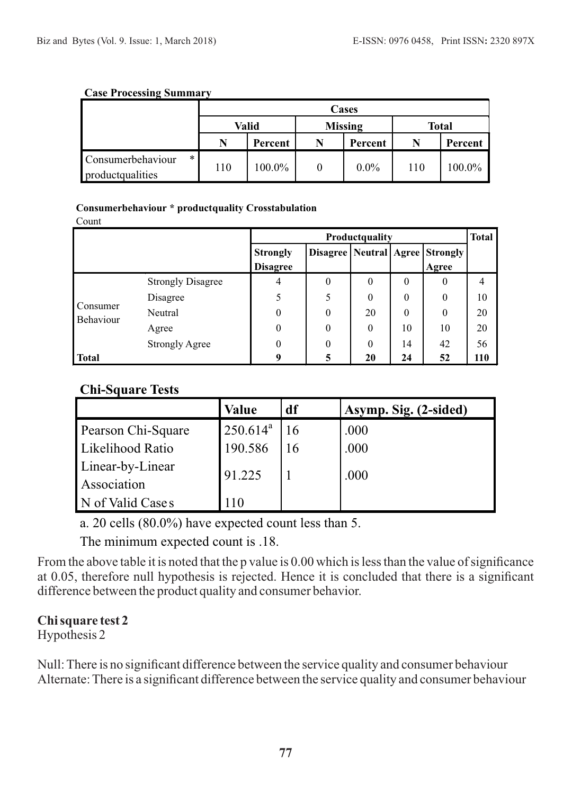#### **Case Processing Summary**

|                                                     |       | Cases   |                |         |              |         |  |
|-----------------------------------------------------|-------|---------|----------------|---------|--------------|---------|--|
|                                                     | Valid |         | <b>Missing</b> |         | <b>Total</b> |         |  |
|                                                     | N     | Percent |                | Percent | N            | Percent |  |
| $\ast$<br>Consumerbehaviour<br>product<br>qualities | 110   | 100.0%  |                | $0.0\%$ | 110          | 100.0%  |  |

#### **Consumerbehaviour \* productquality Crosstabulation**

Count

|                       |                          | <b>Productguality</b>              |          |              |          |                                                | <b>Total</b> |
|-----------------------|--------------------------|------------------------------------|----------|--------------|----------|------------------------------------------------|--------------|
|                       |                          | <b>Strongly</b><br><b>Disagree</b> |          |              |          | Disagree   Neutral   Agree   Strongly<br>Agree |              |
| Consumer<br>Behaviour | <b>Strongly Disagree</b> | 4                                  | $\theta$ | $\mathbf{0}$ | $\theta$ | $\theta$                                       | 4            |
|                       | Disagree                 | 5                                  | 5        | $\theta$     | $\theta$ | $\theta$                                       | 10           |
|                       | Neutral                  | $\theta$                           | 0        | 20           | $\theta$ | $\theta$                                       | 20           |
|                       | Agree                    | $\theta$                           | $\theta$ | $\mathbf{0}$ | 10       | 10                                             | 20           |
|                       | <b>Strongly Agree</b>    | $\theta$                           | 0        | $\mathbf{0}$ | 14       | 42                                             | 56           |
| <b>Total</b>          |                          | 9                                  | 5        | 20           | 24       | 52                                             | 110          |

## **Chi-Square Tests**

|                    | <b>Value</b>    | df | Asymp. Sig. (2-sided) |
|--------------------|-----------------|----|-----------------------|
| Pearson Chi-Square | $250.614^a$     |    | .000                  |
| Likelihood Ratio   | 190.586         |    | .000                  |
| Linear-by-Linear   | 91.225          |    | .000                  |
| Association        |                 |    |                       |
| N of Valid Cases   | $\overline{10}$ |    |                       |

a. 20 cells (80.0%) have expected count less than 5.

The minimum expected count is .18.

From the above table it is noted that the p value is 0.00 which is less than the value of significance at 0.05, therefore null hypothesis is rejected. Hence it is concluded that there is a significant difference between the product quality and consumer behavior.

### **Chi square test 2**

Hypothesis 2

Null: There is no significant difference between the service quality and consumer behaviour Alternate: There is a significant difference between the service quality and consumer behaviour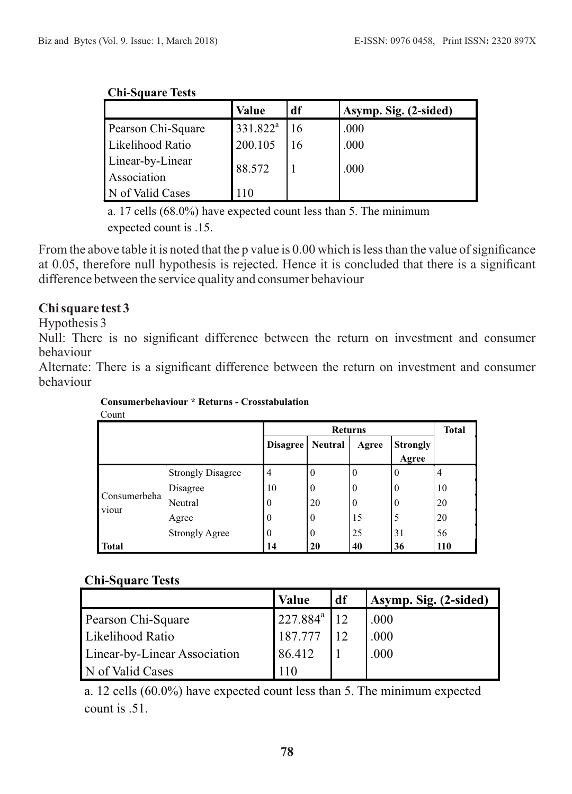#### **Chi-Square Tests**

|                    | <b>Value</b>         | df | Asymp. Sig. (2-sided) |
|--------------------|----------------------|----|-----------------------|
| Pearson Chi-Square | 331.822 <sup>a</sup> |    | .000                  |
| Likelihood Ratio   | 200.105              | 16 | .000                  |
| Linear-by-Linear   | 88.572               |    | .000                  |
| Association        |                      |    |                       |
| N of Valid Cases   | 110                  |    |                       |

a. 17 cells (68.0%) have expected count less than 5. The minimum expected count is .15.

From the above table it is noted that the p value is 0.00 which is less than the value of significance at 0.05, therefore null hypothesis is rejected. Hence it is concluded that there is a significant difference between the service quality and consumer behaviour

### **Chi square test 3**

Hypothesis 3

Null: There is no significant difference between the return on investment and consumer behaviour

Alternate: There is a significant difference between the return on investment and consumer behaviour

| Count                 |                          |                 |                  |                  |                          |                |  |
|-----------------------|--------------------------|-----------------|------------------|------------------|--------------------------|----------------|--|
|                       |                          |                 | <b>Total</b>     |                  |                          |                |  |
|                       |                          | <b>Disagree</b> | <b>Neutral</b>   | Agree            | <b>Strongly</b><br>Agree |                |  |
|                       | <b>Strongly Disagree</b> | 4               | $\theta$         | $\boldsymbol{0}$ | $\theta$                 | $\overline{4}$ |  |
|                       | Disagree                 | 10              | $\boldsymbol{0}$ | $\boldsymbol{0}$ | $\Omega$                 | 10             |  |
| Consumerbeha<br>viour | Neutral                  | $\Omega$        | 20               | $\boldsymbol{0}$ | $\Omega$                 | 20             |  |
|                       | Agree                    | $\theta$        | $\theta$         | 15               | 5                        | 20             |  |
|                       | <b>Strongly Agree</b>    | $\theta$        | $\bf{0}$         | 25               | 31                       | 56             |  |
| <b>Total</b>          |                          | 14              | 20               | 40               | 36                       | <b>110</b>     |  |

**Consumerbehaviour \* Returns - Crosstabulation** Count

### **Chi-Square Tests**

|                              | <b>Value</b>         | df | Asymp. Sig. (2-sided) |
|------------------------------|----------------------|----|-----------------------|
| Pearson Chi-Square           | 227.884 <sup>a</sup> |    | .000                  |
| Likelihood Ratio             | 187.777              |    | .000                  |
| Linear-by-Linear Association | 86.412               |    | .000                  |
| N of Valid Cases             |                      |    |                       |

a. 12 cells (60.0%) have expected count less than 5. The minimum expected count is .51.